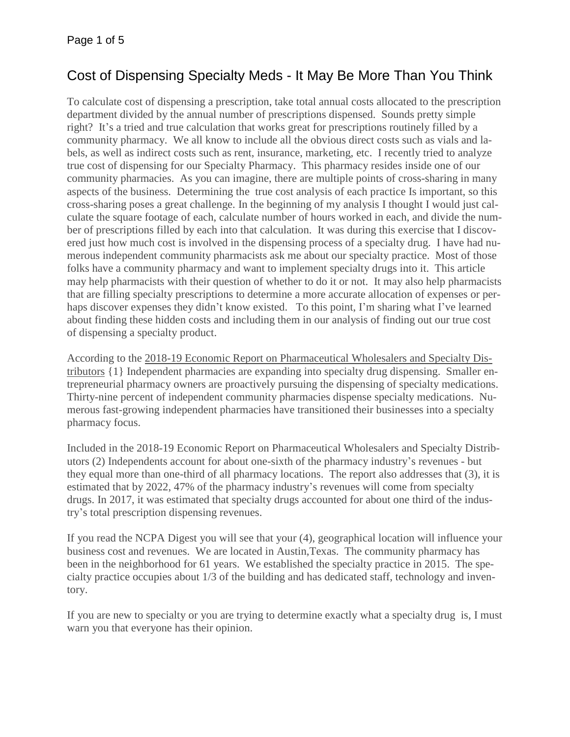# Cost of Dispensing Specialty Meds - It May Be More Than You Think

To calculate cost of dispensing a prescription, take total annual costs allocated to the prescription department divided by the annual number of prescriptions dispensed. Sounds pretty simple right? It's a tried and true calculation that works great for prescriptions routinely filled by a community pharmacy. We all know to include all the obvious direct costs such as vials and labels, as well as indirect costs such as rent, insurance, marketing, etc. I recently tried to analyze true cost of dispensing for our Specialty Pharmacy. This pharmacy resides inside one of our community pharmacies. As you can imagine, there are multiple points of cross-sharing in many aspects of the business. Determining the true cost analysis of each practice Is important, so this cross-sharing poses a great challenge. In the beginning of my analysis I thought I would just calculate the square footage of each, calculate number of hours worked in each, and divide the number of prescriptions filled by each into that calculation. It was during this exercise that I discovered just how much cost is involved in the dispensing process of a specialty drug. I have had numerous independent community pharmacists ask me about our specialty practice. Most of those folks have a community pharmacy and want to implement specialty drugs into it. This article may help pharmacists with their question of whether to do it or not. It may also help pharmacists that are filling specialty prescriptions to determine a more accurate allocation of expenses or perhaps discover expenses they didn't know existed. To this point, I'm sharing what I've learned about finding these hidden costs and including them in our analysis of finding out our true cost of dispensing a specialty product.

According to the 2018-19 Economic Report on Pharmaceutical Wholesalers and Specialty Distributors {1} Independent pharmacies are expanding into specialty drug dispensing. Smaller entrepreneurial pharmacy owners are proactively pursuing the dispensing of specialty medications. Thirty-nine percent of independent community pharmacies dispense specialty medications. Numerous fast-growing independent pharmacies have transitioned their businesses into a specialty pharmacy focus.

Included in the 2018-19 Economic Report on Pharmaceutical Wholesalers and Specialty Distributors (2) Independents account for about one-sixth of the pharmacy industry's revenues - but they equal more than one-third of all pharmacy locations. The report also addresses that (3), it is estimated that by 2022, 47% of the pharmacy industry's revenues will come from specialty drugs. In 2017, it was estimated that specialty drugs accounted for about one third of the industry's total prescription dispensing revenues.

If you read the NCPA Digest you will see that your (4), geographical location will influence your business cost and revenues. We are located in Austin,Texas. The community pharmacy has been in the neighborhood for 61 years. We established the specialty practice in 2015. The specialty practice occupies about 1/3 of the building and has dedicated staff, technology and inventory.

If you are new to specialty or you are trying to determine exactly what a specialty drug is, I must warn you that everyone has their opinion.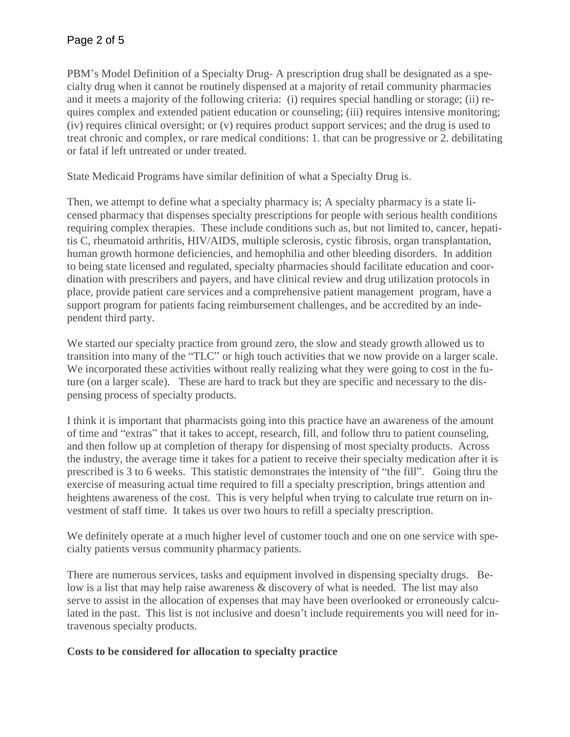PBM's Model Definition of a Specialty Drug- A prescription drug shall be designated as a specialty drug when it cannot be routinely dispensed at a majority of retail community pharmacies and it meets a majority of the following criteria: (i) requires special handling or storage; (ii) requires complex and extended patient education or counseling; (iii) requires intensive monitoring; (iv) requires clinical oversight; or (v) requires product support services; and the drug is used to treat chronic and complex, or rare medical conditions: 1. that can be progressive or 2. debilitating or fatal if left untreated or under treated.

State Medicaid Programs have similar definition of what a Specialty Drug is.

Then, we attempt to define what a specialty pharmacy is; A specialty pharmacy is a state licensed pharmacy that dispenses specialty prescriptions for people with serious health conditions requiring complex therapies. These include conditions such as, but not limited to, cancer, hepatitis C, rheumatoid arthritis, HIV/AIDS, multiple sclerosis, cystic fibrosis, organ transplantation, human growth hormone deficiencies, and hemophilia and other bleeding disorders. In addition to being state licensed and regulated, specialty pharmacies should facilitate education and coordination with prescribers and payers, and have clinical review and drug utilization protocols in place, provide patient care services and a comprehensive patient management program, have a support program for patients facing reimbursement challenges, and be accredited by an independent third party.

We started our specialty practice from ground zero, the slow and steady growth allowed us to transition into many of the "TLC" or high touch activities that we now provide on a larger scale. We incorporated these activities without really realizing what they were going to cost in the future (on a larger scale). These are hard to track but they are specific and necessary to the dispensing process of specialty products.

I think it is important that pharmacists going into this practice have an awareness of the amount of time and "extras" that it takes to accept, research, fill, and follow thru to patient counseling, and then follow up at completion of therapy for dispensing of most specialty products. Across the industry, the average time it takes for a patient to receive their specialty medication after it is prescribed is 3 to 6 weeks. This statistic demonstrates the intensity of "the fill". Going thru the exercise of measuring actual time required to fill a specialty prescription, brings attention and heightens awareness of the cost. This is very helpful when trying to calculate true return on investment of staff time. It takes us over two hours to refill a specialty prescription.

We definitely operate at a much higher level of customer touch and one on one service with specialty patients versus community pharmacy patients.

There are numerous services, tasks and equipment involved in dispensing specialty drugs. Below is a list that may help raise awareness & discovery of what is needed. The list may also serve to assist in the allocation of expenses that may have been overlooked or erroneously calculated in the past. This list is not inclusive and doesn't include requirements you will need for intravenous specialty products.

## **Costs to be considered for allocation to specialty practice**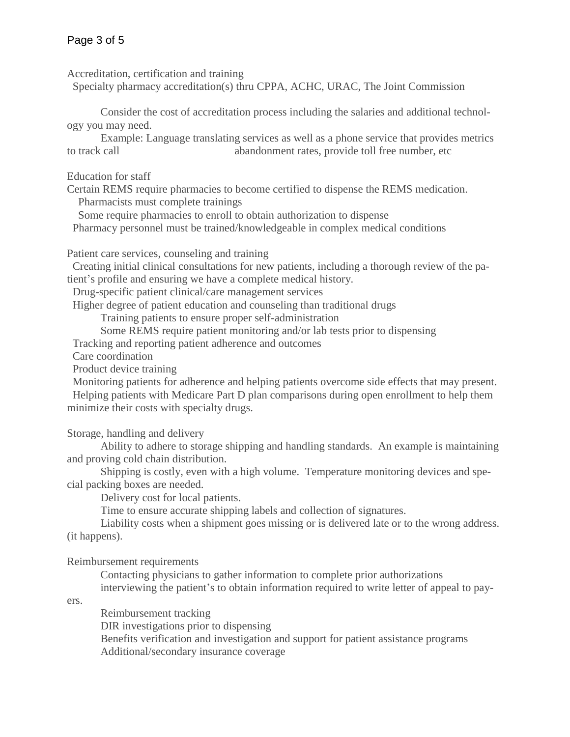Accreditation, certification and training

Specialty pharmacy accreditation(s) thru CPPA, ACHC, URAC, The Joint Commission

Consider the cost of accreditation process including the salaries and additional technology you may need.

Example: Language translating services as well as a phone service that provides metrics to track call abandonment rates, provide toll free number, etc

Education for staff

Certain REMS require pharmacies to become certified to dispense the REMS medication. Pharmacists must complete trainings

Some require pharmacies to enroll to obtain authorization to dispense

Pharmacy personnel must be trained/knowledgeable in complex medical conditions

Patient care services, counseling and training

 Creating initial clinical consultations for new patients, including a thorough review of the patient's profile and ensuring we have a complete medical history.

Drug-specific patient clinical/care management services

Higher degree of patient education and counseling than traditional drugs

Training patients to ensure proper self-administration

Some REMS require patient monitoring and/or lab tests prior to dispensing

Tracking and reporting patient adherence and outcomes

Care coordination

Product device training

 Monitoring patients for adherence and helping patients overcome side effects that may present. Helping patients with Medicare Part D plan comparisons during open enrollment to help them minimize their costs with specialty drugs.

Storage, handling and delivery

Ability to adhere to storage shipping and handling standards. An example is maintaining and proving cold chain distribution.

Shipping is costly, even with a high volume. Temperature monitoring devices and special packing boxes are needed.

Delivery cost for local patients.

Time to ensure accurate shipping labels and collection of signatures.

Liability costs when a shipment goes missing or is delivered late or to the wrong address. (it happens).

Reimbursement requirements

Contacting physicians to gather information to complete prior authorizations interviewing the patient's to obtain information required to write letter of appeal to pay-

ers.

Reimbursement tracking DIR investigations prior to dispensing Benefits verification and investigation and support for patient assistance programs Additional/secondary insurance coverage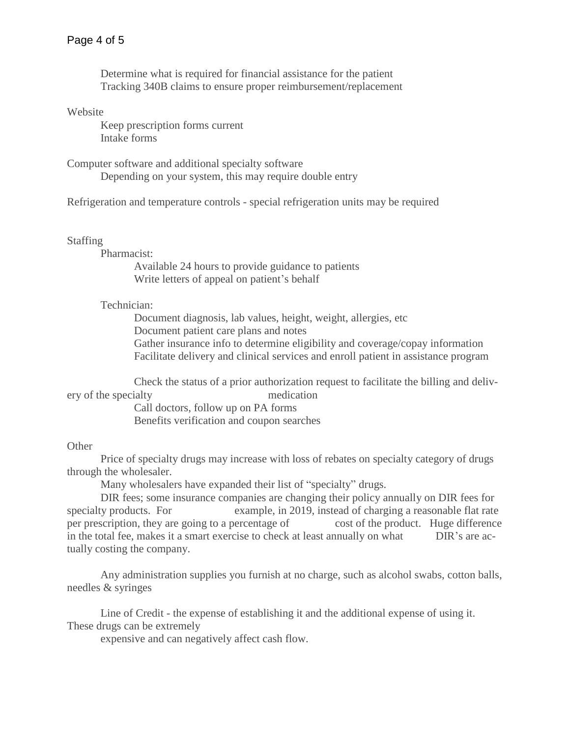Determine what is required for financial assistance for the patient Tracking 340B claims to ensure proper reimbursement/replacement

#### Website

 Keep prescription forms current Intake forms

Computer software and additional specialty software Depending on your system, this may require double entry

Refrigeration and temperature controls - special refrigeration units may be required

#### Staffing

Pharmacist:

Available 24 hours to provide guidance to patients Write letters of appeal on patient's behalf

## Technician:

Document diagnosis, lab values, height, weight, allergies, etc Document patient care plans and notes Gather insurance info to determine eligibility and coverage/copay information Facilitate delivery and clinical services and enroll patient in assistance program

Check the status of a prior authorization request to facilitate the billing and delivery of the specialty medication

Call doctors, follow up on PA forms Benefits verification and coupon searches

### **Other**

Price of specialty drugs may increase with loss of rebates on specialty category of drugs through the wholesaler.

Many wholesalers have expanded their list of "specialty" drugs.

DIR fees; some insurance companies are changing their policy annually on DIR fees for specialty products. For example, in 2019, instead of charging a reasonable flat rate per prescription, they are going to a percentage of cost of the product. Huge difference in the total fee, makes it a smart exercise to check at least annually on what DIR's are actually costing the company.

Any administration supplies you furnish at no charge, such as alcohol swabs, cotton balls, needles & syringes

Line of Credit - the expense of establishing it and the additional expense of using it. These drugs can be extremely

expensive and can negatively affect cash flow.